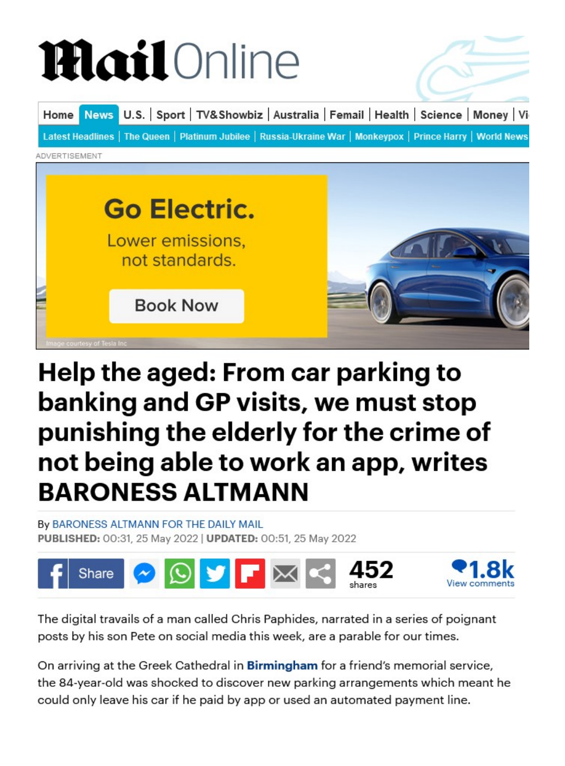## **Mail**Online



## Help the aged: From car parking to banking and GP visits, we must stop punishing the elderly for the crime of not being able to work an app, writes BARONESS ALTMANN

By [Baroness Altmann For The Daily Mail](https://www.dailymail.co.uk/home/search.html?s=&authornamef=Baroness+Altmann+For+The+Daily+Mail)  Published: 00:31, 25 May 2022 | Updated: 00:51, 25 May 2022



The digital travails of a man called Chris Paphides, narrated in a series of poignant posts by his son Pete on social media this week, are a parable for our times.

On arriving at the Greek Cathedral in [Birmingham](https://www.dailymail.co.uk/news/birmingham/index.html) for a friend's memorial service, the 84-year-old was shocked to discover new parking arrangements which meant he could only leave his car if he paid by app or used an automated payment line.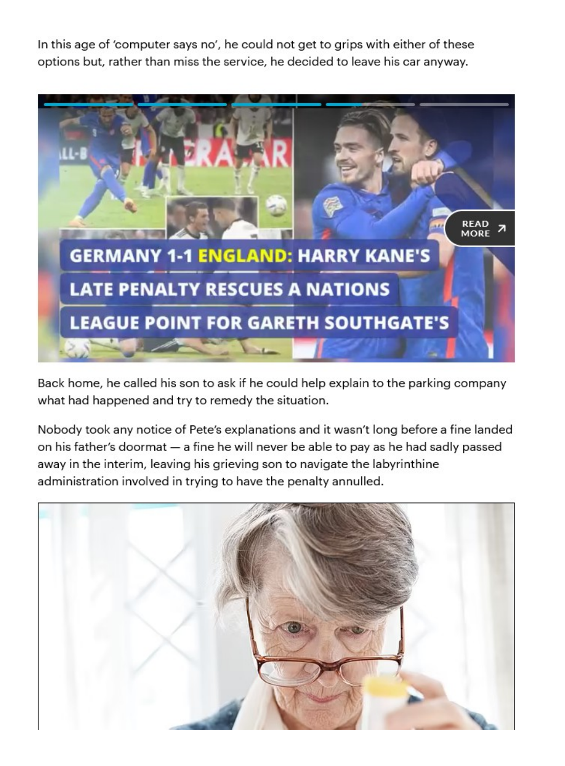In this age of 'computer says no', he could not get to grips with either of these options but, rather than miss the service, he decided to leave his car anyway.



Back home, he called his son to ask if he could help explain to the parking company what had happened and try to remedy the situation.

Nobody took any notice of Pete's explanations and it wasn't long before a fine landed on his father's doormat — a fine he will never be able to pay as he had sadly passed away in the interim, leaving his grieving son to navigate the labyrinthine administration involved in trying to have the penalty annulled.

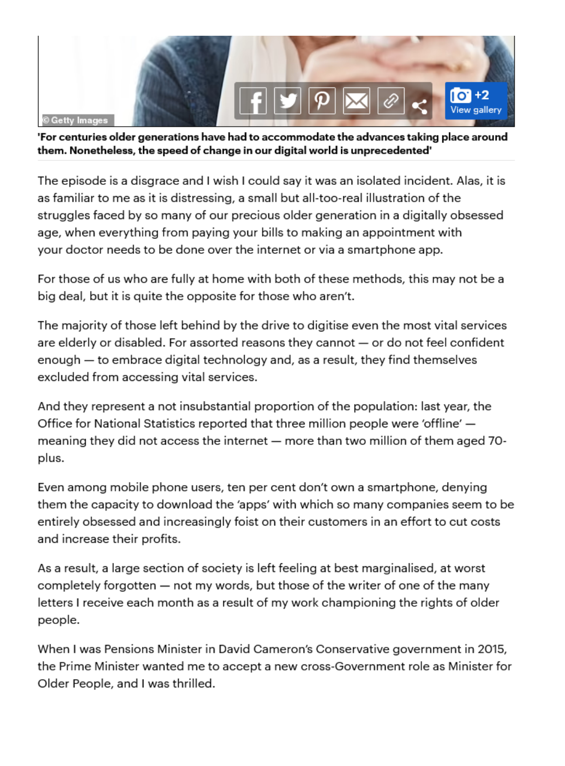

'For centuries older generations have had to accommodate the advances taking place around them. Nonetheless, the speed of change in our digital world is unprecedented'

The episode is a disgrace and I wish I could say it was an isolated incident. Alas, it is as familiar to me as it is distressing, a small but all-too-real illustration of the struggles faced by so many of our precious older generation in a digitally obsessed age, when everything from paying your bills to making an appointment with your doctor needs to be done over the internet or via a smartphone app.

For those of us who are fully at home with both of these methods, this may not be a big deal, but it is quite the opposite for those who aren't.

The majority of those left behind by the drive to digitise even the most vital services are elderly or disabled. For assorted reasons they cannot — or do not feel confident enough — to embrace digital technology and, as a result, they find themselves excluded from accessing vital services.

And they represent a not insubstantial proportion of the population: last year, the Office for National Statistics reported that three million people were 'offline' meaning they did not access the internet — more than two million of them aged 70 plus.

Even among mobile phone users, ten per cent don't own a smartphone, denying them the capacity to download the 'apps' with which so many companies seem to be entirely obsessed and increasingly foist on their customers in an effort to cut costs and increase their profits.

As a result, a large section of society is left feeling at best marginalised, at worst completely forgotten — not my words, but those of the writer of one of the many letters I receive each month as a result of my work championing the rights of older people.

When I was Pensions Minister in David Cameron's Conservative government in 2015, the Prime Minister wanted me to accept a new cross-Government role as Minister for Older People, and I was thrilled.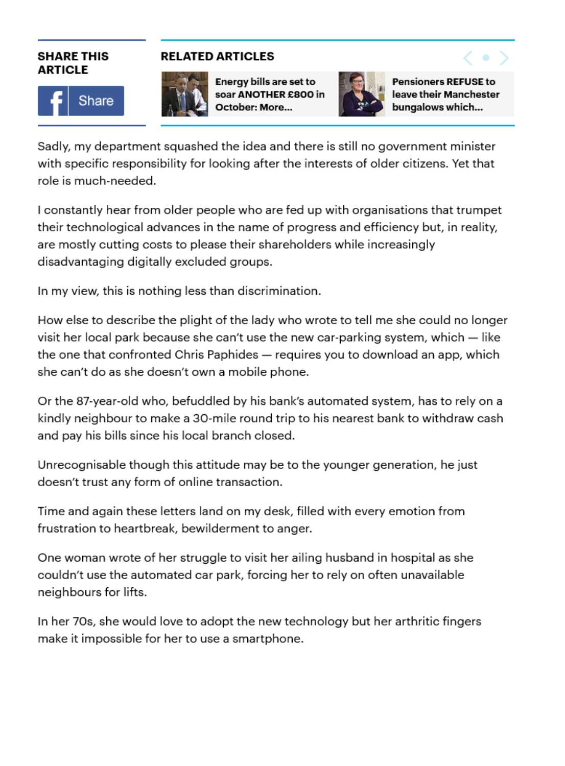## **ARTICLE**



## Share this RELATED ARTICLES



[soar ANOTHER £800 in](https://www.dailymail.co.uk/news/article-10848623/Government-tax-soars-12-year-year-50bn-April.html) **Leave their Manchester** October: More... **bungalows which...** 



Energy bills are set to **Pensioners REFUSE** to

۰

Sadly, my department squashed the idea and there is still no government minister with specific responsibility for looking after the interests of older citizens. Yet that role is much-needed.

<sup>I</sup>constantly hear from older people who are fed up with organisations that trumpet their technological advances in the name of progress and efficiency but, in reality, are mostly cutting costs to please their shareholders while increasingly disadvantaging digitally excluded groups.

In my view, this is nothing less than discrimination.

How else to describe the plight of the lady who wrote to tell me she could no longer visit her local park because she can't use the new car-parking system, which — like the one that confronted Chris Paphides — requires you to download an app, which she can't do as she doesn't own a mobile phone.

Or the 87-year-old who, befuddled by his bank's automated system, has to rely on a kindly neighbour to make a 30-mile round trip to his nearest bank to withdraw cash and pay his bills since his local branch closed.

Unrecognisable though this attitude may be to the younger generation, he just doesn't trust any form of online transaction.

Time and again these letters land on my desk, filled with every emotion from frustration to heartbreak, bewilderment to anger.

One woman wrote of her struggle to visit her ailing husband in hospital as she couldn't use the automated car park, forcing her to rely on often unavailable neighbours for lifts.

In her 70s, she would love to adopt the new technology but her arthritic fingers make it impossible for her to use a smartphone.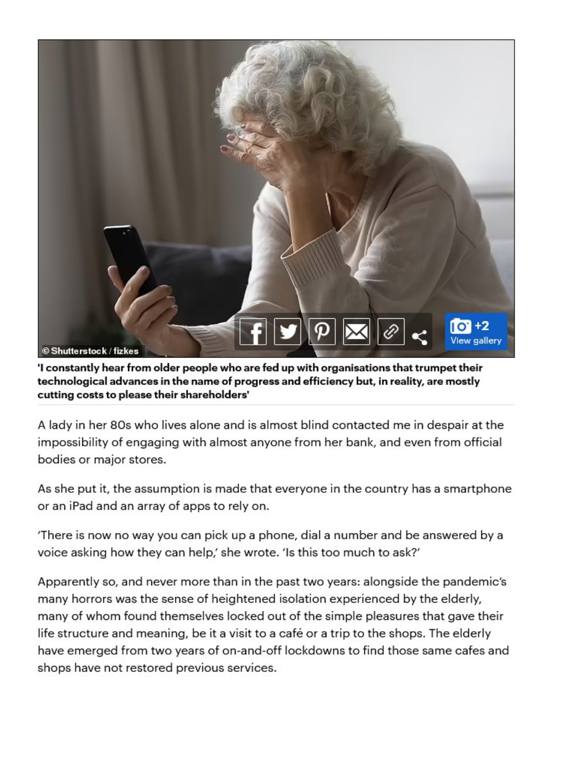

'I constantly hear from older people who are fed up with organisations that trumpet their technological advances in the name of progress and efficiency but, in reality, are mostly cutting costs to please their shareholders'

A lady in her 80s who lives alone and is almost blind contacted me in despair at the impossibility of engaging with almost anyone from her bank, and even from official bodies or major stores.

As she put it, the assumption is made that everyone in the country has a smartphone or an iPad and an array of apps to rely on.

'There is now no way you can pick up a phone, dial a number and be answered by a voice asking how they can help,' she wrote. 'Is this too much to ask?'

Apparently so, and never more than in the past two years: alongside the pandemic's many horrors was the sense of heightened isolation experienced by the elderly, many of whom found themselves locked out of the simple pleasures that gave their life structure and meaning, be it a visit to a café or a trip to the shops. The elderly have emerged from two years of on-and-off lockdowns to find those same cafes and shops have not restored previous services.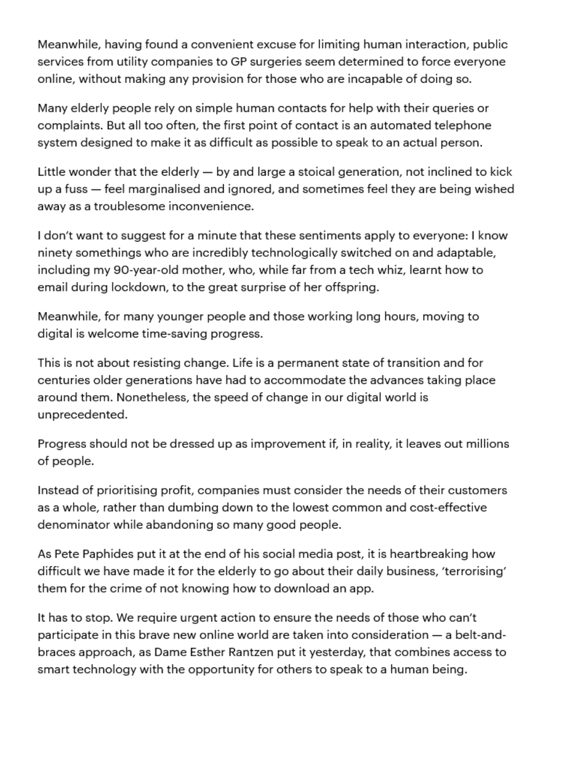Meanwhile, having found a convenient excuse for limiting human interaction, public services from utility companies to GP surgeries seem determined to force everyone online, without making any provision for those who are incapable of doing so.

Many elderly people rely on simple human contacts for help with their queries or complaints. But all too often, the first point of contact is an automated telephone system designed to make it as difficult as possible to speak to an actual person.

Little wonder that the elderly — by and large a stoical generation, not inclined to kick up a fuss — feel marginalised and ignored, and sometimes feel they are being wished away as a troublesome inconvenience.

I don't want to suggest for a minute that these sentiments apply to everyone: I know ninety somethings who are incredibly technologically switched on and adaptable, including my 90-year-old mother, who, while far from a tech whiz, learnt how to email during lockdown, to the great surprise of her offspring.

Meanwhile, for many younger people and those working long hours, moving to digital is welcome time-saving progress.

This is not about resisting change. Life is a permanent state of transition and for centuries older generations have had to accommodate the advances taking place around them. Nonetheless, the speed of change in our digital world is unprecedented.

Progress should not be dressed up as improvement if, in reality, it leaves out millions of people.

Instead of prioritising profit, companies must consider the needs of their customers as a whole, rather than dumbing down to the lowest common and cost-effective denominator while abandoning so many good people.

As Pete Paphides put it at the end of his social media post, it is heartbreaking how difficult we have made it for the elderly to go about their daily business, 'terrorising' them for the crime of not knowing how to download an app.

It has to stop. We require urgent action to ensure the needs of those who can't participate in this brave new online world are taken into consideration — a belt-andbraces approach, as Dame Esther Rantzen put it yesterday, that combines access to smart technology with the opportunity for others to speak to a human being.